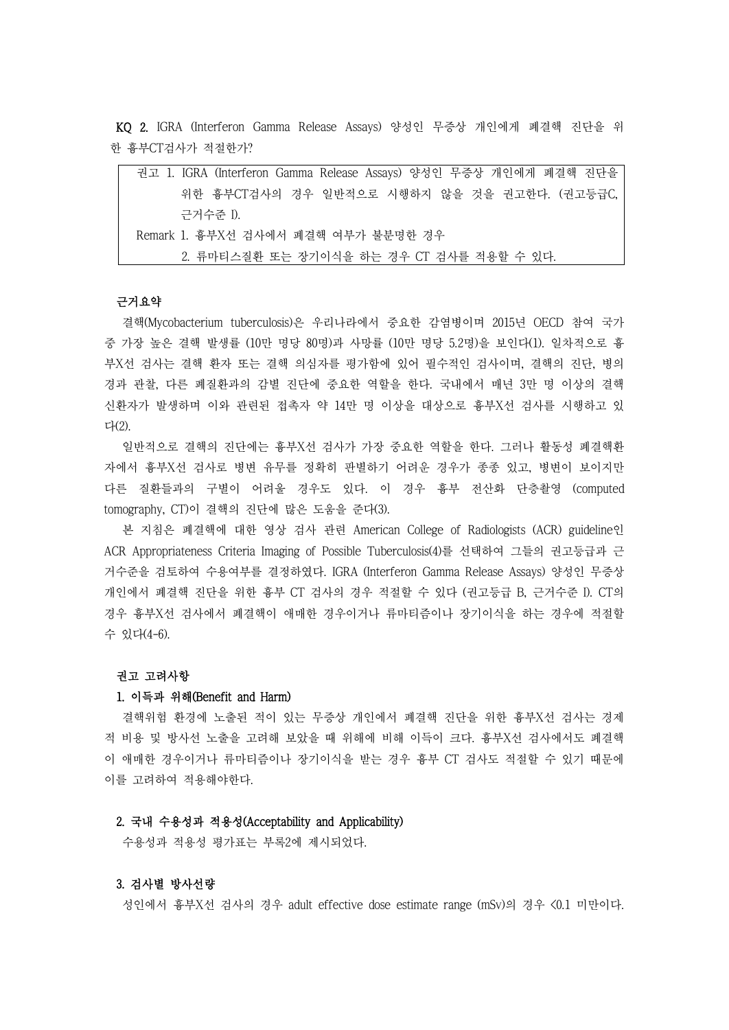KQ 2. IGRA (Interferon Gamma Release Assays) 양성인 무증상 개인에게 폐결핵 진단을 위 한 흉부CT검사가 적절한가?

| 위한 흉부CT검사의 경우 일반적으로 시행하지 않을 것을 권고한다. (권고등급C,<br>근거수주 I).<br>Remark 1. 흉부X선 검사에서 폐결핵 여부가 불분명한 경우 |
|-------------------------------------------------------------------------------------------------|
|                                                                                                 |
|                                                                                                 |
|                                                                                                 |
| 2. 류마티스질환 또는 장기이식을 하는 경우 CT 검사를 적용할 수 있다.                                                       |

결핵(Mycobacterium tuberculosis)은 우리나라에서 중요한 감염병이며 2015년 OECD 참여 국가 중 가장 높은 결핵 발생률 (10만 명당 80명)과 사망률 (10만 명당 5.2명)을 보인다(1). 일차적으로 흉 부X선 검사는 결핵 환자 또는 결핵 의심자를 평가함에 있어 필수적인 검사이며, 결핵의 진단, 병의 경과 관찰, 다른 폐질환과의 감별 진단에 중요한 역할을 한다. 국내에서 매년 3만 명 이상의 결핵 신환자가 발생하며 이와 관련된 접촉자 약 14만 명 이상을 대상으로 흉부X선 검사를 시행하고 있 다(2).

일반적으로 결핵의 진단에는 흉부X선 검사가 가장 중요한 역할을 한다. 그러나 활동성 폐결핵환 자에서 흉부X선 검사로 병변 유무를 정확히 판별하기 어려운 경우가 종종 있고, 병변이 보이지만 다른 질환들과의 구별이 어려울 경우도 있다. 이 경우 흉부 전산화 단층촬영 (computed tomography, CT)이 결핵의 진단에 많은 도움을 준다(3).

본 지침은 폐결핵에 대한 영상 검사 관련 American College of Radiologists (ACR) guideline인 ACR Appropriateness Criteria Imaging of Possible Tuberculosis(4)를 선택하여 그들의 권고등급과 근 거수준을 검토하여 수용여부를 결정하였다. IGRA (Interferon Gamma Release Assays) 양성인 무증상 개인에서 폐결핵 진단을 위한 흉부 CT 검사의 경우 적절할 수 있다 (권고등급 B, 근거수준 I). CT의 경우 흉부X선 검사에서 폐결핵이 애매한 경우이거나 류마티즘이나 장기이식을 하는 경우에 적절할 수 있다(4-6).

#### 권고 고려사항

#### 1. 이득과 위해(Benefit and Harm)

결핵위험 환경에 노출된 적이 있는 무증상 개인에서 폐결핵 진단을 위한 흉부X선 검사는 경제 적 비용 및 방사선 노출을 고려해 보았을 때 위해에 비해 이득이 크다. 흉부X선 검사에서도 폐결핵 이 애매한 경우이거나 류마티즘이나 장기이식을 받는 경우 흉부 CT 검사도 적절할 수 있기 때문에 이를 고려하여 적용해야한다.

# 2. 국내 수용성과 적용성(Acceptability and Applicability)

수용성과 적용성 평가표는 부록2에 제시되었다.

# 3. 검사별 방사선량

성인에서 흉부X선 검사의 경우 adult effective dose estimate range (mSv)의 경우 <0.1 미만이다.